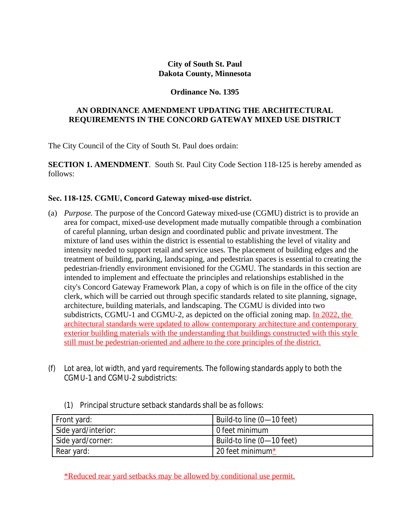## **City of South St. Paul Dakota County, Minnesota**

## **Ordinance No. 1395**

## **AN ORDINANCE AMENDMENT UPDATING THE ARCHITECTURAL REQUIREMENTS IN THE CONCORD GATEWAY MIXED USE DISTRICT**

The City Council of the City of South St. Paul does ordain:

**SECTION 1. AMENDMENT**. South St. Paul City Code Section 118-125 is hereby amended as follows:

## **Sec. 118-125. CGMU, Concord Gateway mixed-use district.**

- (a) *Purpose.* The purpose of the Concord Gateway mixed-use (CGMU) district is to provide an area for compact, mixed-use development made mutually compatible through a combination of careful planning, urban design and coordinated public and private investment. The mixture of land uses within the district is essential to establishing the level of vitality and intensity needed to support retail and service uses. The placement of building edges and the treatment of building, parking, landscaping, and pedestrian spaces is essential to creating the pedestrian-friendly environment envisioned for the CGMU. The standards in this section are intended to implement and effectuate the principles and relationships established in the city's Concord Gateway Framework Plan, a copy of which is on file in the office of the city clerk, which will be carried out through specific standards related to site planning, signage, architecture, building materials, and landscaping. The CGMU is divided into two subdistricts, CGMU-1 and CGMU-2, as depicted on the official zoning map. In 2022, the architectural standards were updated to allow contemporary architecture and contemporary exterior building materials with the understanding that buildings constructed with this style still must be pedestrian-oriented and adhere to the core principles of the district.
- (f) *Lot area, lot width, and yard requirements.* The following standards apply to both the CGMU-1 and CGMU-2 subdistricts:
	- (1) Principal structure setback standards shall be as follows:

| Front yard:         | Build-to line (0-10 feet) |
|---------------------|---------------------------|
| Side yard/interior: | l 0 feet minimum          |
| Side yard/corner:   | Build-to line (0-10 feet) |
| Rear yard:          | 20 feet minimum*          |

\*Reduced rear yard setbacks may be allowed by conditional use permit.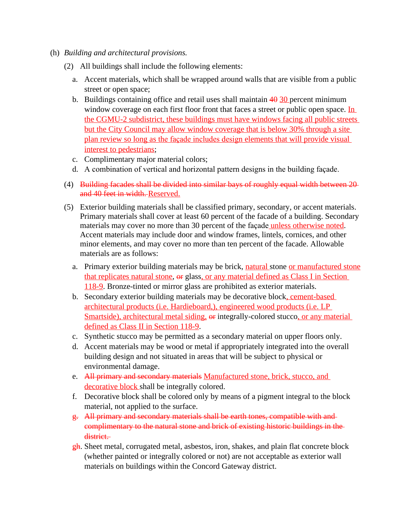- (h) *Building and architectural provisions.*
	- (2) All buildings shall include the following elements:
		- a. Accent materials, which shall be wrapped around walls that are visible from a public street or open space;
		- b. Buildings containing office and retail uses shall maintain  $40\overline{30}$  percent minimum window coverage on each first floor front that faces a street or public open space. In the CGMU-2 subdistrict, these buildings must have windows facing all public streets but the City Council may allow window coverage that is below 30% through a site plan review so long as the façade includes design elements that will provide visual interest to pedestrians;
		- c. Complimentary major material colors;
		- d. A combination of vertical and horizontal pattern designs in the building façade.
	- (4) Building facades shall be divided into similar bays of roughly equal width between 20 and 40 feet in width. Reserved.
	- (5) Exterior building materials shall be classified primary, secondary, or accent materials. Primary materials shall cover at least 60 percent of the facade of a building. Secondary materials may cover no more than 30 percent of the façade unless otherwise noted. Accent materials may include door and window frames, lintels, cornices, and other minor elements, and may cover no more than ten percent of the facade. Allowable materials are as follows:
		- a. Primary exterior building materials may be brick, natural stone or manufactured stone that replicates natural stone, or glass, or any material defined as Class I in Section 118-9. Bronze-tinted or mirror glass are prohibited as exterior materials.
		- b. Secondary exterior building materials may be decorative block, cement-based architectural products (i.e. Hardieboard,), engineered wood products (i.e. LP Smartside), architectural metal siding, or integrally-colored stucco, or any material defined as Class II in Section 118-9.
		- c. Synthetic stucco may be permitted as a secondary material on upper floors only.
		- d. Accent materials may be wood or metal if appropriately integrated into the overall building design and not situated in areas that will be subject to physical or environmental damage.
		- e. All primary and secondary materials Manufactured stone, brick, stucco, and decorative block shall be integrally colored.
		- f. Decorative block shall be colored only by means of a pigment integral to the block material, not applied to the surface.
		- g. All primary and secondary materials shall be earth tones, compatible with and complimentary to the natural stone and brick of existing historic buildings in the district.
		- $g$ h. Sheet metal, corrugated metal, asbestos, iron, shakes, and plain flat concrete block (whether painted or integrally colored or not) are not acceptable as exterior wall materials on buildings within the Concord Gateway district.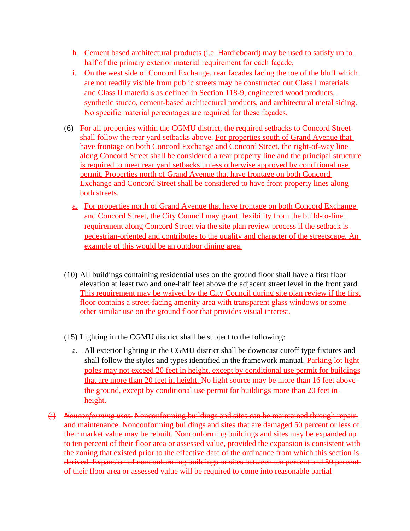- h. Cement based architectural products (i.e. Hardieboard) may be used to satisfy up to half of the primary exterior material requirement for each façade.
- i. On the west side of Concord Exchange, rear facades facing the toe of the bluff which are not readily visible from public streets may be constructed out Class I materials and Class II materials as defined in Section 118-9, engineered wood products, synthetic stucco, cement-based architectural products, and architectural metal siding. No specific material percentages are required for these façades.
- (6) For all properties within the CGMU district, the required setbacks to Concord Street shall follow the rear vard setbacks above. For properties south of Grand Avenue that have frontage on both Concord Exchange and Concord Street, the right-of-way line along Concord Street shall be considered a rear property line and the principal structure is required to meet rear yard setbacks unless otherwise approved by conditional use permit. Properties north of Grand Avenue that have frontage on both Concord Exchange and Concord Street shall be considered to have front property lines along both streets.
	- a. For properties north of Grand Avenue that have frontage on both Concord Exchange and Concord Street, the City Council may grant flexibility from the build-to-line requirement along Concord Street via the site plan review process if the setback is pedestrian-oriented and contributes to the quality and character of the streetscape. An example of this would be an outdoor dining area.
- (10) All buildings containing residential uses on the ground floor shall have a first floor elevation at least two and one-half feet above the adjacent street level in the front yard. This requirement may be waived by the City Council during site plan review if the first floor contains a street-facing amenity area with transparent glass windows or some other similar use on the ground floor that provides visual interest.
- (15) Lighting in the CGMU district shall be subject to the following:
	- a. All exterior lighting in the CGMU district shall be downcast cutoff type fixtures and shall follow the styles and types identified in the framework manual. Parking lot light poles may not exceed 20 feet in height, except by conditional use permit for buildings that are more than 20 feet in height. No light source may be more than 16 feet above the ground, except by conditional use permit for buildings more than 20 feet in height.
- (i) *Nonconforming uses.* Nonconforming buildings and sites can be maintained through repair and maintenance. Nonconforming buildings and sites that are damaged 50 percent or less of their market value may be rebuilt. Nonconforming buildings and sites may be expanded up to ten percent of their floor area or assessed value, provided the expansion is consistent with the zoning that existed prior to the effective date of the ordinance from which this section is derived. Expansion of nonconforming buildings or sites between ten percent and 50 percent of their floor area or assessed value will be required to come into reasonable partial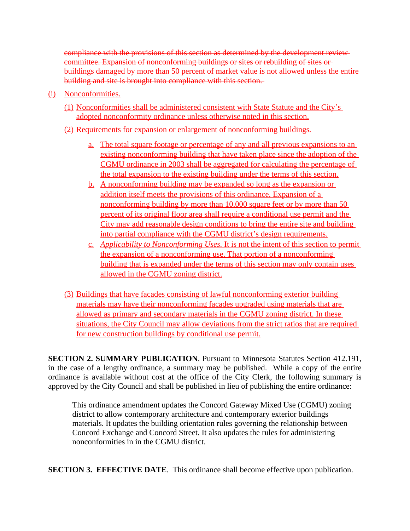compliance with the provisions of this section as determined by the development review committee. Expansion of nonconforming buildings or sites or rebuilding of sites or buildings damaged by more than 50 percent of market value is not allowed unless the entire building and site is brought into compliance with this section.

- (i) Nonconformities.
	- (1) Nonconformities shall be administered consistent with State Statute and the City's adopted nonconformity ordinance unless otherwise noted in this section.
	- (2) Requirements for expansion or enlargement of nonconforming buildings*.*
		- a. The total square footage or percentage of any and all previous expansions to an existing nonconforming building that have taken place since the adoption of the CGMU ordinance in 2003 shall be aggregated for calculating the percentage of the total expansion to the existing building under the terms of this section.
		- b. A nonconforming building may be expanded so long as the expansion or addition itself meets the provisions of this ordinance. Expansion of a nonconforming building by more than 10,000 square feet or by more than 50 percent of its original floor area shall require a conditional use permit and the City may add reasonable design conditions to bring the entire site and building into partial compliance with the CGMU district's design requirements.
		- c. *Applicability to Nonconforming Uses.* It is not the intent of this section to permit the expansion of a nonconforming use. That portion of a nonconforming building that is expanded under the terms of this section may only contain uses allowed in the CGMU zoning district.
	- (3) Buildings that have facades consisting of lawful nonconforming exterior building materials may have their nonconforming facades upgraded using materials that are allowed as primary and secondary materials in the CGMU zoning district. In these situations, the City Council may allow deviations from the strict ratios that are required for new construction buildings by conditional use permit.

**SECTION 2. SUMMARY PUBLICATION**. Pursuant to Minnesota Statutes Section 412.191, in the case of a lengthy ordinance, a summary may be published. While a copy of the entire ordinance is available without cost at the office of the City Clerk, the following summary is approved by the City Council and shall be published in lieu of publishing the entire ordinance:

This ordinance amendment updates the Concord Gateway Mixed Use (CGMU) zoning district to allow contemporary architecture and contemporary exterior buildings materials. It updates the building orientation rules governing the relationship between Concord Exchange and Concord Street. It also updates the rules for administering nonconformities in in the CGMU district.

**SECTION 3. EFFECTIVE DATE**. This ordinance shall become effective upon publication.